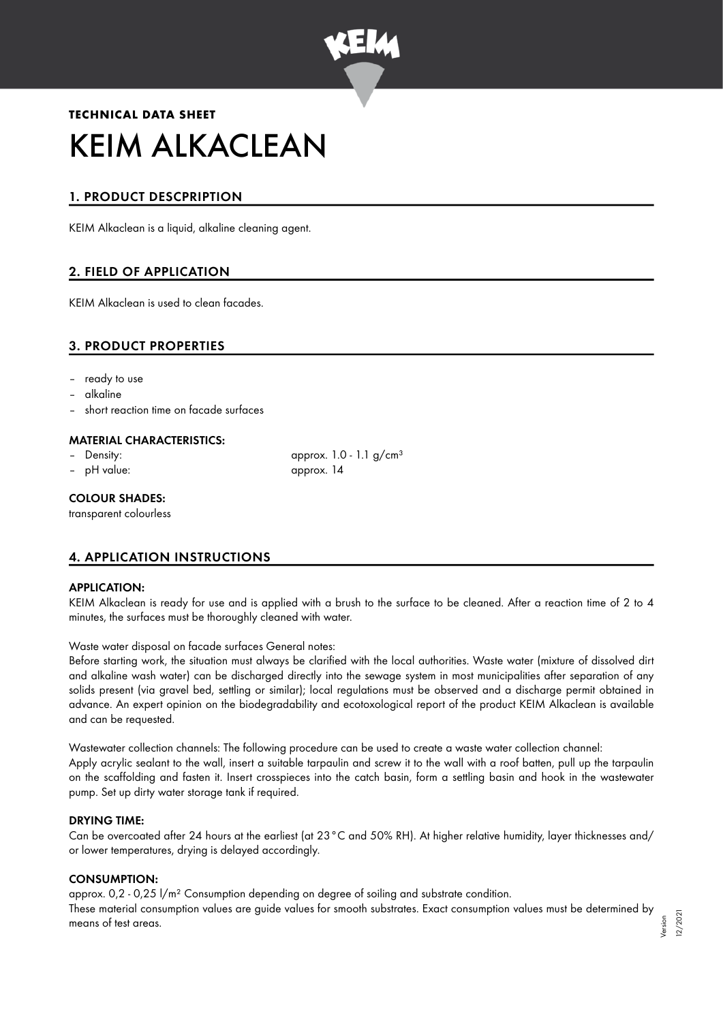

# **TECHNICAL DATA SHEET** KEIM ALKACLEAN

## 1. PRODUCT DESCPRIPTION

KEIM Alkaclean is a liquid, alkaline cleaning agent.

## 2. FIELD OF APPLICATION

KEIM Alkaclean is used to clean facades.

## 3. PRODUCT PROPERTIES

- ready to use
- alkaline
- short reaction time on facade surfaces

#### MATERIAL CHARACTERISTICS:

- 
- 

Density:  $\qquad \qquad \text{approx. 1.0 - 1.1 g/cm<sup>3</sup>}$ – pH value: approx. 14

#### COLOUR SHADES:

transparent colourless

## 4. APPLICATION INSTRUCTIONS

#### APPLICATION:

KEIM Alkaclean is ready for use and is applied with a brush to the surface to be cleaned. After a reaction time of 2 to 4 minutes, the surfaces must be thoroughly cleaned with water.

Waste water disposal on facade surfaces General notes:

Before starting work, the situation must always be clarified with the local authorities. Waste water (mixture of dissolved dirt and alkaline wash water) can be discharged directly into the sewage system in most municipalities after separation of any solids present (via gravel bed, settling or similar); local regulations must be observed and a discharge permit obtained in advance. An expert opinion on the biodegradability and ecotoxological report of the product KEIM Alkaclean is available and can be requested.

Wastewater collection channels: The following procedure can be used to create a waste water collection channel: Apply acrylic sealant to the wall, insert a suitable tarpaulin and screw it to the wall with a roof batten, pull up the tarpaulin on the scaffolding and fasten it. Insert crosspieces into the catch basin, form a settling basin and hook in the wastewater pump. Set up dirty water storage tank if required.

#### DRYING TIME:

Can be overcoated after 24 hours at the earliest (at 23°C and 50% RH). At higher relative humidity, layer thicknesses and/ or lower temperatures, drying is delayed accordingly.

#### CONSUMPTION:

approx. 0,2 - 0,25 l/m² Consumption depending on degree of soiling and substrate condition. These material consumption values are guide values for smooth substrates. Exact consumption values must be determined by means of test areas.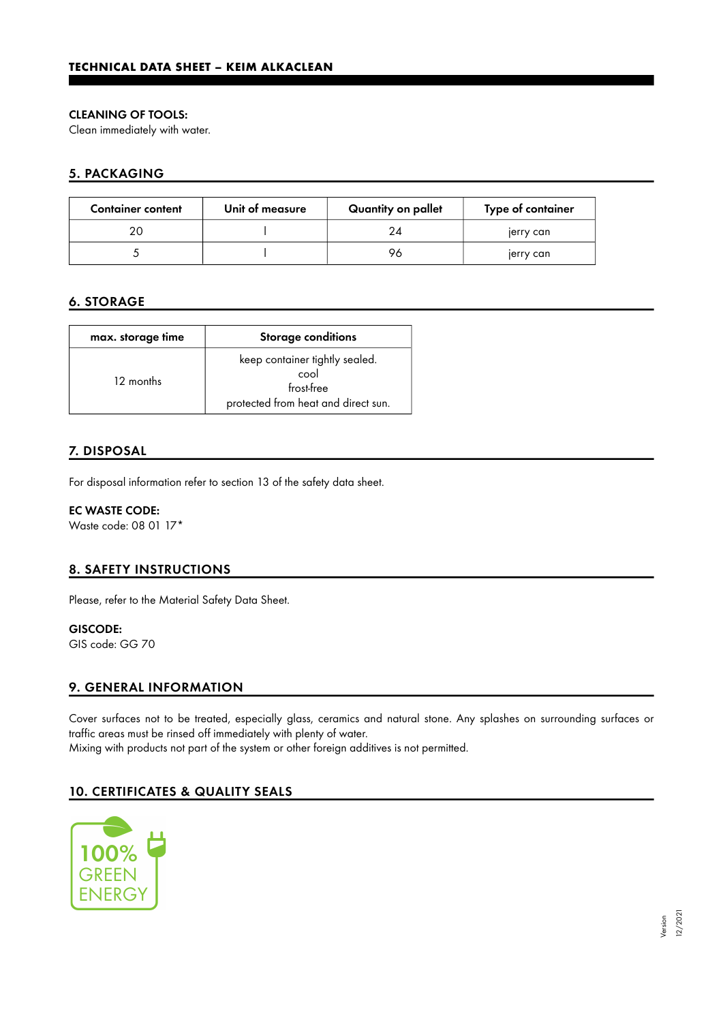#### CLEANING OF TOOLS:

Clean immediately with water.

## 5. PACKAGING

| <b>Container content</b> | Unit of measure | Quantity on pallet | Type of container |
|--------------------------|-----------------|--------------------|-------------------|
|                          |                 | 24                 | jerry can         |
|                          |                 | 96                 | jerry can         |

## 6. STORAGE

| max. storage time | <b>Storage conditions</b>                                                                   |  |
|-------------------|---------------------------------------------------------------------------------------------|--|
| 12 months         | keep container tightly sealed.<br>cool<br>frost-free<br>protected from heat and direct sun. |  |

## 7. DISPOSAL

For disposal information refer to section 13 of the safety data sheet.

EC WASTE CODE: Waste code: 08 01 17\*

## 8. SAFETY INSTRUCTIONS

Please, refer to the Material Safety Data Sheet.

## GISCODE:

GIS code: GG 70

## 9. GENERAL INFORMATION

Cover surfaces not to be treated, especially glass, ceramics and natural stone. Any splashes on surrounding surfaces or traffic areas must be rinsed off immediately with plenty of water.

Mixing with products not part of the system or other foreign additives is not permitted.

## 10. CERTIFICATES & QUALITY SEALS